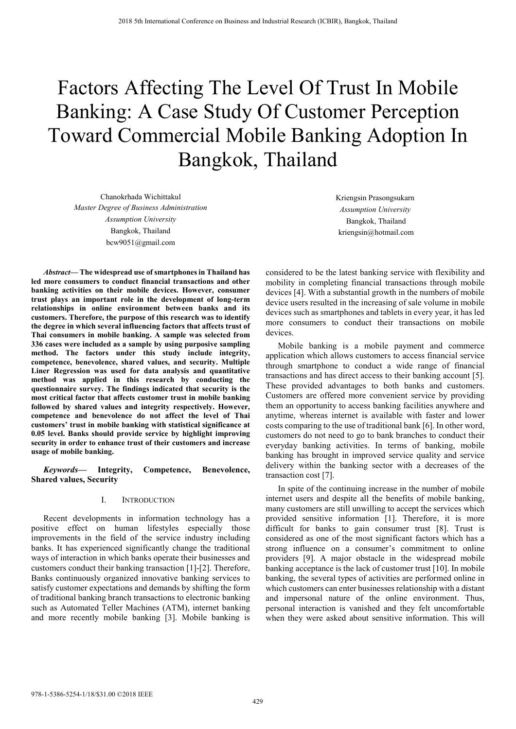# Factors Affecting The Level Of Trust In Mobile Banking: A Case Study Of Customer Perception Toward Commercial Mobile Banking Adoption In Bangkok, Thailand

Chanokrhada Wichittakul *Master Degree of Business Administration Assumption University*  Bangkok, Thailand bcw9051@gmail.com

*Abstract***— The widespread use of smartphones in Thailand has led more consumers to conduct financial transactions and other banking activities on their mobile devices. However, consumer trust plays an important role in the development of long-term relationships in online environment between banks and its customers. Therefore, the purpose of this research was to identify the degree in which several influencing factors that affects trust of Thai consumers in mobile banking. A sample was selected from 336 cases were included as a sample by using purposive sampling method. The factors under this study include integrity, competence, benevolence, shared values, and security. Multiple Liner Regression was used for data analysis and quantitative method was applied in this research by conducting the questionnaire survey. The findings indicated that security is the most critical factor that affects customer trust in mobile banking followed by shared values and integrity respectively. However, competence and benevolence do not affect the level of Thai customers' trust in mobile banking with statistical significance at 0.05 level. Banks should provide service by highlight improving security in order to enhance trust of their customers and increase usage of mobile banking.** 

## *Keywords***— Integrity, Competence, Benevolence, Shared values, Security**

## I. INTRODUCTION

Recent developments in information technology has a positive effect on human lifestyles especially those improvements in the field of the service industry including banks. It has experienced significantly change the traditional ways of interaction in which banks operate their businesses and customers conduct their banking transaction [1]-[2]. Therefore, Banks continuously organized innovative banking services to satisfy customer expectations and demands by shifting the form of traditional banking branch transactions to electronic banking such as Automated Teller Machines (ATM), internet banking and more recently mobile banking [3]. Mobile banking is Kriengsin Prasongsukarn *Assumption University*  Bangkok, Thailand kriengsin@hotmail.com

considered to be the latest banking service with flexibility and mobility in completing financial transactions through mobile devices [4]. With a substantial growth in the numbers of mobile device users resulted in the increasing of sale volume in mobile devices such as smartphones and tablets in every year, it has led more consumers to conduct their transactions on mobile devices.

Mobile banking is a mobile payment and commerce application which allows customers to access financial service through smartphone to conduct a wide range of financial transactions and has direct access to their banking account [5]. These provided advantages to both banks and customers. Customers are offered more convenient service by providing them an opportunity to access banking facilities anywhere and anytime, whereas internet is available with faster and lower costs comparing to the use of traditional bank [6]. In other word, customers do not need to go to bank branches to conduct their everyday banking activities. In terms of banking, mobile banking has brought in improved service quality and service delivery within the banking sector with a decreases of the transaction cost [7].

In spite of the continuing increase in the number of mobile internet users and despite all the benefits of mobile banking, many customers are still unwilling to accept the services which provided sensitive information [1]. Therefore, it is more difficult for banks to gain consumer trust [8]. Trust is considered as one of the most significant factors which has a strong influence on a consumer's commitment to online providers [9]. A major obstacle in the widespread mobile banking acceptance is the lack of customer trust [10]. In mobile banking, the several types of activities are performed online in which customers can enter businesses relationship with a distant and impersonal nature of the online environment. Thus, personal interaction is vanished and they felt uncomfortable when they were asked about sensitive information. This will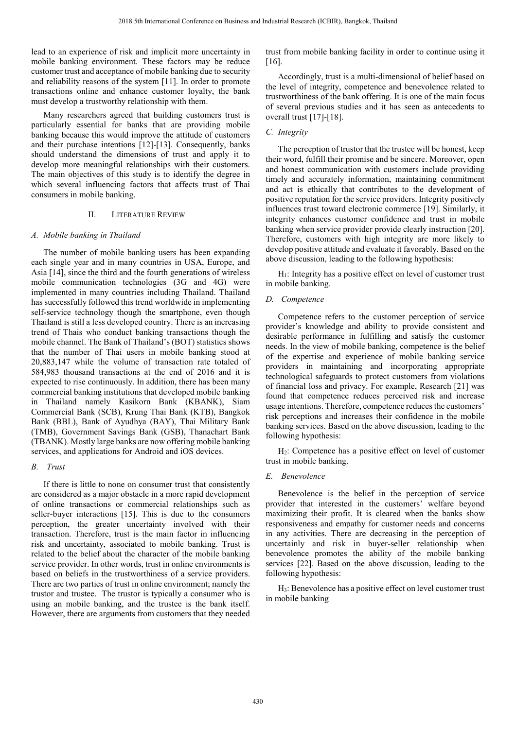lead to an experience of risk and implicit more uncertainty in mobile banking environment. These factors may be reduce customer trust and acceptance of mobile banking due to security and reliability reasons of the system [11]. In order to promote transactions online and enhance customer loyalty, the bank must develop a trustworthy relationship with them.

Many researchers agreed that building customers trust is particularly essential for banks that are providing mobile banking because this would improve the attitude of customers and their purchase intentions [12]-[13]. Consequently, banks should understand the dimensions of trust and apply it to develop more meaningful relationships with their customers. The main objectives of this study is to identify the degree in which several influencing factors that affects trust of Thai consumers in mobile banking.

## II. LITERATURE REVIEW

# *A. Mobile banking in Thailand*

The number of mobile banking users has been expanding each single year and in many countries in USA, Europe, and Asia [14], since the third and the fourth generations of wireless mobile communication technologies (3G and 4G) were implemented in many countries including Thailand. Thailand has successfully followed this trend worldwide in implementing self-service technology though the smartphone, even though Thailand is still a less developed country. There is an increasing trend of Thais who conduct banking transactions though the mobile channel. The Bank of Thailand's (BOT) statistics shows that the number of Thai users in mobile banking stood at 20,883,147 while the volume of transaction rate totaled of 584,983 thousand transactions at the end of 2016 and it is expected to rise continuously. In addition, there has been many commercial banking institutions that developed mobile banking in Thailand namely Kasikorn Bank (KBANK), Siam Commercial Bank (SCB), Krung Thai Bank (KTB), Bangkok Bank (BBL), Bank of Ayudhya (BAY), Thai Military Bank (TMB), Government Savings Bank (GSB), Thanachart Bank (TBANK). Mostly large banks are now offering mobile banking services, and applications for Android and iOS devices.

## *B. Trust*

If there is little to none on consumer trust that consistently are considered as a major obstacle in a more rapid development of online transactions or commercial relationships such as seller-buyer interactions [15]. This is due to the consumers perception, the greater uncertainty involved with their transaction. Therefore, trust is the main factor in influencing risk and uncertainty, associated to mobile banking. Trust is related to the belief about the character of the mobile banking service provider. In other words, trust in online environments is based on beliefs in the trustworthiness of a service providers. There are two parties of trust in online environment; namely the trustor and trustee. The trustor is typically a consumer who is using an mobile banking, and the trustee is the bank itself. However, there are arguments from customers that they needed

trust from mobile banking facility in order to continue using it [16].

Accordingly, trust is a multi-dimensional of belief based on the level of integrity, competence and benevolence related to trustworthiness of the bank offering. It is one of the main focus of several previous studies and it has seen as antecedents to overall trust [17]-[18].

# *C. Integrity*

The perception of trustor that the trustee will be honest, keep their word, fulfill their promise and be sincere. Moreover, open and honest communication with customers include providing timely and accurately information, maintaining commitment and act is ethically that contributes to the development of positive reputation for the service providers. Integrity positively influences trust toward electronic commerce [19]. Similarly, it integrity enhances customer confidence and trust in mobile banking when service provider provide clearly instruction [20]. Therefore, customers with high integrity are more likely to develop positive attitude and evaluate it favorably. Based on the above discussion, leading to the following hypothesis:

 $H<sub>1</sub>$ : Integrity has a positive effect on level of customer trust in mobile banking.

## *D. Competence*

Competence refers to the customer perception of service provider's knowledge and ability to provide consistent and desirable performance in fulfilling and satisfy the customer needs. In the view of mobile banking, competence is the belief of the expertise and experience of mobile banking service providers in maintaining and incorporating appropriate technological safeguards to protect customers from violations of financial loss and privacy. For example, Research [21] was found that competence reduces perceived risk and increase usage intentions. Therefore, competence reduces the customers' risk perceptions and increases their confidence in the mobile banking services. Based on the above discussion, leading to the following hypothesis:

H2: Competence has a positive effect on level of customer trust in mobile banking.

## *E. Benevolence*

Benevolence is the belief in the perception of service provider that interested in the customers' welfare beyond maximizing their profit. It is cleared when the banks show responsiveness and empathy for customer needs and concerns in any activities. There are decreasing in the perception of uncertainly and risk in buyer-seller relationship when benevolence promotes the ability of the mobile banking services [22]. Based on the above discussion, leading to the following hypothesis:

H3: Benevolence has a positive effect on level customer trust in mobile banking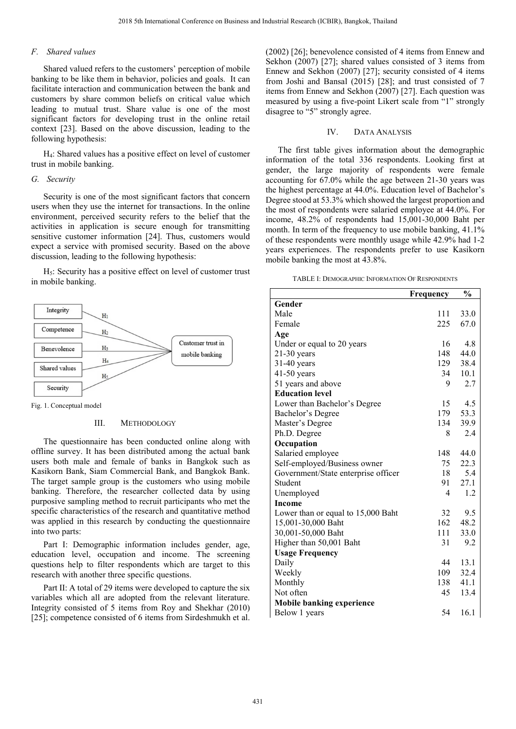## *F. Shared values*

Shared valued refers to the customers' perception of mobile banking to be like them in behavior, policies and goals. It can facilitate interaction and communication between the bank and customers by share common beliefs on critical value which leading to mutual trust. Share value is one of the most significant factors for developing trust in the online retail context [23]. Based on the above discussion, leading to the following hypothesis:

H4: Shared values has a positive effect on level of customer trust in mobile banking.

#### *G. Security*

Security is one of the most significant factors that concern users when they use the internet for transactions. In the online environment, perceived security refers to the belief that the activities in application is secure enough for transmitting sensitive customer information [24]. Thus, customers would expect a service with promised security. Based on the above discussion, leading to the following hypothesis:

 $H<sub>5</sub>$ : Security has a positive effect on level of customer trust in mobile banking.



Fig. 1. Conceptual model

#### III. METHODOLOGY

The questionnaire has been conducted online along with offline survey. It has been distributed among the actual bank users both male and female of banks in Bangkok such as Kasikorn Bank, Siam Commercial Bank, and Bangkok Bank. The target sample group is the customers who using mobile banking. Therefore, the researcher collected data by using purposive sampling method to recruit participants who met the specific characteristics of the research and quantitative method was applied in this research by conducting the questionnaire into two parts:

Part I: Demographic information includes gender, age, education level, occupation and income. The screening questions help to filter respondents which are target to this research with another three specific questions.

Part II: A total of 29 items were developed to capture the six variables which all are adopted from the relevant literature. Integrity consisted of 5 items from Roy and Shekhar (2010) [25]; competence consisted of 6 items from Sirdeshmukh et al.

(2002) [26]; benevolence consisted of 4 items from Ennew and Sekhon (2007) [27]; shared values consisted of 3 items from Ennew and Sekhon (2007) [27]; security consisted of 4 items from Joshi and Bansal (2015) [28]; and trust consisted of 7 items from Ennew and Sekhon (2007) [27]. Each question was measured by using a five-point Likert scale from "1" strongly disagree to "5" strongly agree.

#### IV. DATA ANALYSIS

The first table gives information about the demographic information of the total 336 respondents. Looking first at gender, the large majority of respondents were female accounting for 67.0% while the age between 21-30 years was the highest percentage at 44.0%. Education level of Bachelor's Degree stood at 53.3% which showed the largest proportion and the most of respondents were salaried employee at 44.0%. For income, 48.2% of respondents had 15,001-30,000 Baht per month. In term of the frequency to use mobile banking,  $41.1\%$ of these respondents were monthly usage while 42.9% had 1-2 years experiences. The respondents prefer to use Kasikorn mobile banking the most at 43.8%.

TABLE I: DEMOGRAPHIC INFORMATION OF RESPONDENTS

|                                     | Frequency | $\frac{0}{0}$ |
|-------------------------------------|-----------|---------------|
| Gender                              |           |               |
| Male                                | 111       | 33.0          |
| Female                              | 225       | 67.0          |
| Age                                 |           |               |
| Under or equal to 20 years          | 16        | 4.8           |
| $21-30$ years                       | 148       | 44.0          |
| $31-40$ years                       | 129       | 38.4          |
| $41-50$ years                       | 34        | 10.1          |
| 51 years and above                  | 9         | 2.7           |
| <b>Education level</b>              |           |               |
| Lower than Bachelor's Degree        | 15        | 4.5           |
| Bachelor's Degree                   | 179       | 53.3          |
| Master's Degree                     | 134       | 39.9          |
| Ph.D. Degree                        | 8         | 2.4           |
| Occupation                          |           |               |
| Salaried employee                   | 148       | 44.0          |
| Self-employed/Business owner        | 75        | 22.3          |
| Government/State enterprise officer | 18        | 5.4           |
| Student                             | 91        | 27.1          |
| Unemployed                          | 4         | 1.2           |
| <b>Income</b>                       |           |               |
| Lower than or equal to 15,000 Baht  | 32        | 9.5           |
| 15,001-30,000 Baht                  | 162       | 48.2          |
| 30,001-50,000 Baht                  | 111       | 33.0          |
| Higher than 50,001 Baht             | 31        | 9.2           |
| <b>Usage Frequency</b>              |           |               |
| Daily                               | 44        | 13.1          |
| Weekly                              | 109       | 32.4          |
| Monthly                             | 138       | 41.1          |
| Not often                           | 45        | 13.4          |
| <b>Mobile banking experience</b>    |           |               |
| Below 1 years                       | 54        | 16.1          |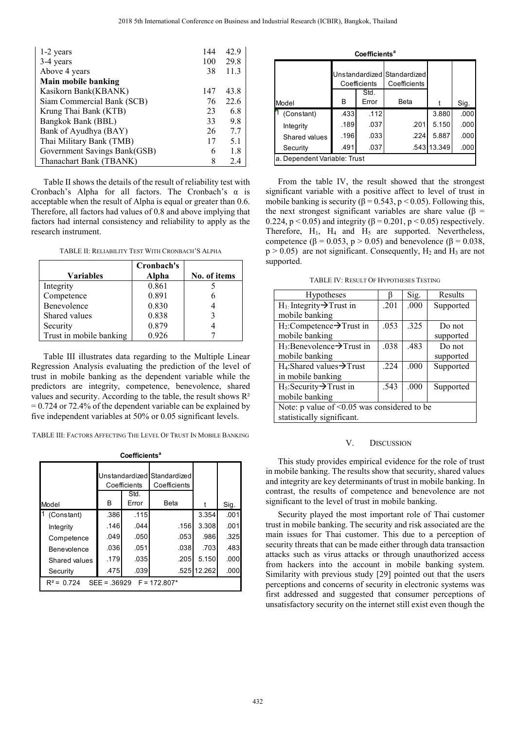| 1-2 years                    | 144 | 42.9 |
|------------------------------|-----|------|
| 3-4 years                    | 100 | 29.8 |
| Above 4 years                | 38  | 11.3 |
| Main mobile banking          |     |      |
| Kasikorn Bank(KBANK)         | 147 | 43.8 |
| Siam Commercial Bank (SCB)   | 76  | 22.6 |
| Krung Thai Bank (KTB)        | 23  | 6.8  |
| Bangkok Bank (BBL)           | 33  | 9.8  |
| Bank of Ayudhya (BAY)        | 26  | 7.7  |
| Thai Military Bank (TMB)     | 17  | 5.1  |
| Government Savings Bank(GSB) | 6   | 1.8  |
| Thanachart Bank (TBANK)      | 8   | 2.4  |

Table II shows the details of the result of reliability test with Cronbach's Alpha for all factors. The Cronbach's  $\alpha$  is acceptable when the result of Alpha is equal or greater than 0.6. Therefore, all factors had values of 0.8 and above implying that factors had internal consistency and reliability to apply as the research instrument.

TABLE II: RELIABILITY TEST WITH CRONBACH'S ALPHA

| Variables               | Cronbach's<br>Alpha | No. of items |
|-------------------------|---------------------|--------------|
| Integrity               | 0.861               |              |
| Competence              | 0.891               |              |
| Benevolence             | 0.830               |              |
| Shared values           | 0.838               |              |
| Security                | 0.879               |              |
| Trust in mobile banking | 0.926               |              |

Table III illustrates data regarding to the Multiple Linear Regression Analysis evaluating the prediction of the level of trust in mobile banking as the dependent variable while the predictors are integrity, competence, benevolence, shared values and security. According to the table, the result shows  $\mathbb{R}^2$  $= 0.724$  or 72.4% of the dependent variable can be explained by five independent variables at 50% or 0.05 significant levels.

TABLE III: FACTORS AFFECTING THE LEVEL OF TRUST IN MOBILE BANKING

| Coefficients <sup>a</sup> |  |
|---------------------------|--|
|---------------------------|--|

|                                                       |      | Coefficients<br>Std. | Unstandardized Standardized<br>Coefficients |             |      |
|-------------------------------------------------------|------|----------------------|---------------------------------------------|-------------|------|
| Model                                                 | B    | Error                | <b>Beta</b>                                 |             | Sig. |
| (Constant)                                            | .386 | .115                 |                                             | 3.354       | .001 |
| Integrity                                             | .146 | .044                 | .156                                        | 3.308       | .001 |
| Competence                                            | .049 | .050                 | .053                                        | .986        | .325 |
| Benevolence                                           | .036 | .051                 | .038                                        | .703        | .483 |
| Shared values                                         | .179 | .035                 | .205                                        | 5.150       | .000 |
| Security                                              | .475 | .039                 |                                             | .525 12.262 | .000 |
| 0 7 2 4<br>$F = 172.807*$<br>$SEE = 36929$<br>$R^2 =$ |      |                      |                                             |             |      |

| Coefficients <sup>a</sup>    |      |               |                                             |            |      |
|------------------------------|------|---------------|---------------------------------------------|------------|------|
|                              |      | Coefficients  | Unstandardized Standardized<br>Coefficients |            |      |
| Model                        | В    | Std.<br>Error | Beta                                        |            | Sig. |
| (Constant)                   | .433 | .112          |                                             | 3.880      | .000 |
| Integrity                    | .189 | .037          | .201                                        | 5.150      | .000 |
| Shared values                | .196 | .033          | .224                                        | 5.887      | .000 |
| Security                     | .491 | .037          |                                             | 543113.349 | .000 |
| a. Dependent Variable: Trust |      |               |                                             |            |      |

From the table IV, the result showed that the strongest significant variable with a positive affect to level of trust in mobile banking is security ( $\beta$  = 0.543, p < 0.05). Following this, the next strongest significant variables are share value ( $\beta$  = 0.224,  $p < 0.05$ ) and integrity ( $\beta = 0.201$ ,  $p < 0.05$ ) respectively. Therefore,  $H_1$ ,  $H_4$  and  $H_5$  are supported. Nevertheless, competence ( $\beta$  = 0.053, p > 0.05) and benevolence ( $\beta$  = 0.038,  $p > 0.05$ ) are not significant. Consequently, H<sub>2</sub> and H<sub>3</sub> are not supported.

|  | <b>TABLE IV: RESULT OF HYPOTHESES TESTING</b> |  |
|--|-----------------------------------------------|--|
|  |                                               |  |

| <b>Hypotheses</b>                             |      | Sig. | Results   |  |
|-----------------------------------------------|------|------|-----------|--|
| $H_1$ : Integrity $\rightarrow$ Trust in      | .201 | .000 | Supported |  |
| mobile banking                                |      |      |           |  |
| $H_2$ :Competence $\rightarrow$ Trust in      | .053 | .325 | Do not    |  |
| mobile banking                                |      |      | supported |  |
| $H_3$ : Benevolence $\rightarrow$ Trust in    | .038 | .483 | Do not    |  |
| mobile banking                                |      |      | supported |  |
| $H_4$ : Shared values $\rightarrow$ Trust     | 224  | .000 | Supported |  |
| in mobile banking                             |      |      |           |  |
| $H_5$ : Security $\rightarrow$ Trust in       | .543 | .000 | Supported |  |
| mobile banking                                |      |      |           |  |
| Note: $p$ value of <0.05 was considered to be |      |      |           |  |
| statistically significant.                    |      |      |           |  |

#### V. DISCUSSION

This study provides empirical evidence for the role of trust in mobile banking. The results show that security, shared values and integrity are key determinants of trust in mobile banking. In contrast, the results of competence and benevolence are not significant to the level of trust in mobile banking.

Security played the most important role of Thai customer trust in mobile banking. The security and risk associated are the main issues for Thai customer. This due to a perception of security threats that can be made either through data transaction attacks such as virus attacks or through unauthorized access from hackers into the account in mobile banking system. Similarity with previous study [29] pointed out that the users perceptions and concerns of security in electronic systems was first addressed and suggested that consumer perceptions of unsatisfactory security on the internet still exist even though the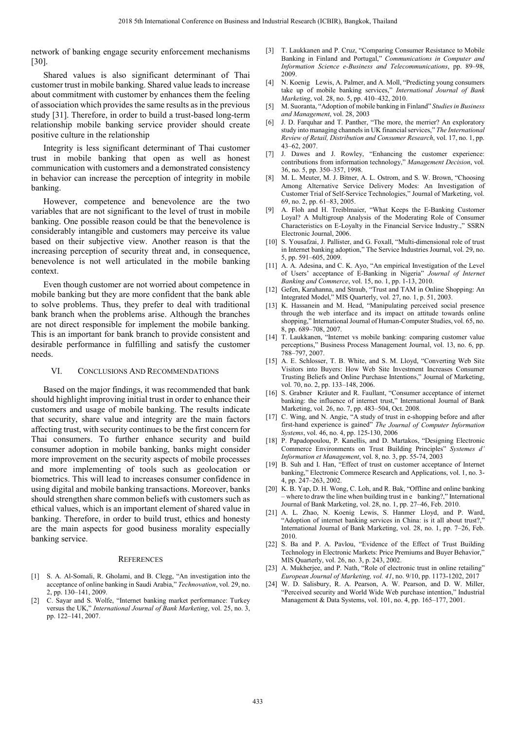network of banking engage security enforcement mechanisms [30].

Shared values is also significant determinant of Thai customer trust in mobile banking. Shared value leads to increase about commitment with customer by enhances them the feeling of association which provides the same results as in the previous study [31]. Therefore, in order to build a trust-based long-term relationship mobile banking service provider should create positive culture in the relationship

Integrity is less significant determinant of Thai customer trust in mobile banking that open as well as honest communication with customers and a demonstrated consistency in behavior can increase the perception of integrity in mobile banking.

However, competence and benevolence are the two variables that are not significant to the level of trust in mobile banking. One possible reason could be that the benevolence is considerably intangible and customers may perceive its value based on their subjective view. Another reason is that the increasing perception of security threat and, in consequence, benevolence is not well articulated in the mobile banking context.

Even though customer are not worried about competence in mobile banking but they are more confident that the bank able to solve problems. Thus, they prefer to deal with traditional bank branch when the problems arise. Although the branches are not direct responsible for implement the mobile banking. This is an important for bank branch to provide consistent and desirable performance in fulfilling and satisfy the customer needs.

#### VI. CONCLUSIONS AND RECOMMENDATIONS

Based on the major findings, it was recommended that bank should highlight improving initial trust in order to enhance their customers and usage of mobile banking. The results indicate that security, share value and integrity are the main factors affecting trust, with security continues to be the first concern for Thai consumers. To further enhance security and build consumer adoption in mobile banking, banks might consider more improvement on the security aspects of mobile processes and more implementing of tools such as geolocation or biometrics. This will lead to increases consumer confidence in using digital and mobile banking transactions. Moreover, banks should strengthen share common beliefs with customers such as ethical values, which is an important element of shared value in banking. Therefore, in order to build trust, ethics and honesty are the main aspects for good business morality especially banking service.

#### **REFERENCES**

- [1] S. A. Al-Somali, R. Gholami, and B. Clegg, "An investigation into the acceptance of online banking in Saudi Arabia," *Technovation*, vol. 29, no. 2, pp. 130–141, 2009.
- [2] C. Sayar and S. Wolfe, "Internet banking market performance: Turkey versus the UK," *International Journal of Bank Marketing*, vol. 25, no. 3, pp. 122–141, 2007.
- [3] T. Laukkanen and P. Cruz, "Comparing Consumer Resistance to Mobile Banking in Finland and Portugal," *Communications in Computer and Information Science e-Business and Telecommunications*, pp. 89–98, 2009
- [4] N. Koenig Lewis, A. Palmer, and A. Moll, "Predicting young consumers take up of mobile banking services," *International Journal of Bank Marketing*, vol. 28, no. 5, pp. 410–432, 2010.
- [5] M. Suoranta, "Adoption of mobile banking in Finland" *Studies in Business and Management*, vol. 28, 2003
- [6] J. D. Farquhar and T. Panther, "The more, the merrier? An exploratory study into managing channels in UK financial services," *The International Review of Retail, Distribution and Consumer Research*, vol. 17, no. 1, pp. 43–62, 2007.
- [7] J. Dawes and J. Rowley, "Enhancing the customer experience: contributions from information technology," *Management Decision*, vol. 36, no. 5, pp. 350–357, 1998.
- [8] M. L. Meuter, M. J. Bitner, A. L. Ostrom, and S. W. Brown, "Choosing Among Alternative Service Delivery Modes: An Investigation of Customer Trial of Self-Service Technologies," Journal of Marketing, vol. 69, no. 2, pp. 61–83, 2005.
- [9] A. Floh and H. Treiblmaier, "What Keeps the E-Banking Customer Loyal? A Multigroup Analysis of the Moderating Role of Consumer Characteristics on E-Loyalty in the Financial Service Industry.," SSRN Electronic Journal, 2006.
- [10] S. Yousafzai, J. Pallister, and G. Foxall, "Multi-dimensional role of trust in Internet banking adoption," The Service Industries Journal, vol. 29, no. 5, pp. 591–605, 2009.
- [11] A. A. Adesina, and C. K. Ayo, "An empirical Investigation of the Level of Users' acceptance of E-Banking in Nigeria" *Journal of Internet Banking and Commerce*, vol. 15, no. 1, pp. 1-13, 2010.
- [12] Gefen, Karahanna, and Straub, "Trust and TAM in Online Shopping: An Integrated Model," MIS Quarterly, vol. 27, no. 1, p. 51, 2003.
- [13] K. Hassanein and M. Head, "Manipulating perceived social presence through the web interface and its impact on attitude towards online shopping," International Journal of Human-Computer Studies, vol. 65, no. 8, pp. 689–708, 2007.
- [14] T. Laukkanen, "Internet vs mobile banking: comparing customer value perceptions," Business Process Management Journal, vol. 13, no. 6, pp. 788–797, 2007.
- [15] A. E. Schlosser, T. B. White, and S. M. Lloyd, "Converting Web Site Visitors into Buyers: How Web Site Investment Increases Consumer Trusting Beliefs and Online Purchase Intentions," Journal of Marketing, vol. 70, no. 2, pp. 133–148, 2006.
- [16] S. Grabner Kräuter and R. Faullant, "Consumer acceptance of internet banking: the influence of internet trust," International Journal of Bank Marketing, vol. 26, no. 7, pp. 483–504, Oct. 2008.
- [17] C. Wing, and N. Angie, "A study of trust in e-shopping before and after first-hand experience is gained" *The Journal of Computer Information Systems*, vol. 46, no. 4, pp. 125-130, 2006
- [18] P. Papadopoulou, P. Kanellis, and D. Martakos, "Designing Electronic Commerce Environments on Trust Building Principles" *Systemes d' Information et Management*, vol. 8, no. 3, pp. 55-74, 2003
- [19] B. Suh and I. Han, "Effect of trust on customer acceptance of Internet banking," Electronic Commerce Research and Applications, vol. 1, no. 3- 4, pp. 247–263, 2002.
- [20] K. B. Yap, D. H. Wong, C. Loh, and R. Bak, "Offline and online banking – where to draw the line when building trust in e banking?," International Journal of Bank Marketing, vol. 28, no. 1, pp. 27–46, Feb. 2010.
- [21] A. L. Zhao, N. Koenig Lewis, S. Hanmer Lloyd, and P. Ward, "Adoption of internet banking services in China: is it all about trust?, International Journal of Bank Marketing, vol. 28, no. 1, pp. 7–26, Feb. 2010.
- [22] S. Ba and P. A. Pavlou, "Evidence of the Effect of Trust Building Technology in Electronic Markets: Price Premiums and Buyer Behavior, MIS Quarterly, vol. 26, no. 3, p. 243, 2002.
- [23] A. Mukherjee, and P. Nath, "Role of electronic trust in online retailing" *European Journal of Marketing, vol. 41*, no. 9/10, pp. 1173-1202, 2017
- [24] W. D. Salisbury, R. A. Pearson, A. W. Pearson, and D. W. Miller, "Perceived security and World Wide Web purchase intention," Industrial Management & Data Systems, vol. 101, no. 4, pp. 165–177, 2001.